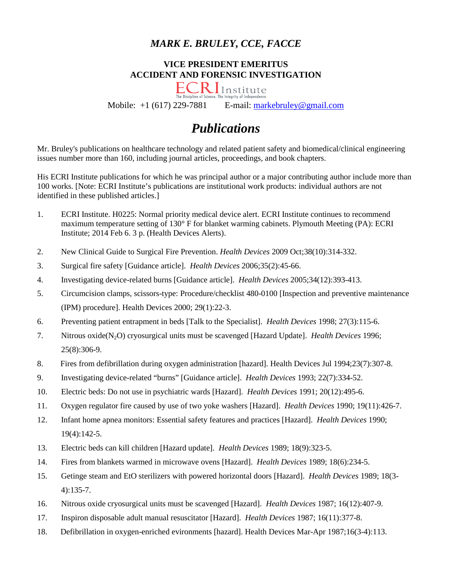## *MARK E. BRULEY, CCE, FACCE*

#### **VICE PRESIDENT EMERITUS ACCIDENT AND FORENSIC INVESTIGATION**



Mobile:  $+1$  (617) 229-7881 E-mail: [markebruley@gmail.com](mailto:markebruley@gmail.com)

# *Publications*

Mr. Bruley's publications on healthcare technology and related patient safety and biomedical/clinical engineering issues number more than 160, including journal articles, proceedings, and book chapters.

His ECRI Institute publications for which he was principal author or a major contributing author include more than 100 works. [Note: ECRI Institute's publications are institutional work products: individual authors are not identified in these published articles.]

- 1. ECRI Institute. H0225: Normal priority medical device alert. ECRI Institute continues to recommend maximum temperature setting of 130° F for blanket warming cabinets. Plymouth Meeting (PA): ECRI Institute; 2014 Feb 6. 3 p. (Health Devices Alerts).
- 2. New Clinical Guide to Surgical Fire Prevention. *Health Devices* 2009 Oct;38(10):314-332.
- 3. Surgical fire safety [Guidance article]. *Health Devices* 2006;35(2):45-66.
- 4. Investigating device-related burns [Guidance article]. *Health Devices* 2005;34(12):393-413.
- 5. Circumcision clamps, scissors-type: Procedure/checklist 480-0100 [Inspection and preventive maintenance (IPM) procedure]. Health Devices 2000; 29(1):22-3.
- 6. Preventing patient entrapment in beds [Talk to the Specialist]. *Health Devices* 1998; 27(3):115-6.
- 7. Nitrous oxide(N2O) cryosurgical units must be scavenged [Hazard Update]. *Health Devices* 1996; 25(8):306-9.
- 8. Fires from defibrillation during oxygen administration [hazard]. Health Devices Jul 1994;23(7):307-8.
- 9. Investigating device-related "burns" [Guidance article]. *Health Devices* 1993; 22(7):334-52.
- 10. Electric beds: Do not use in psychiatric wards [Hazard]. *Health Devices* 1991; 20(12):495-6.
- 11. Oxygen regulator fire caused by use of two yoke washers [Hazard]. *Health Devices* 1990; 19(11):426-7.
- 12. Infant home apnea monitors: Essential safety features and practices [Hazard]. *Health Devices* 1990; 19(4):142-5.
- 13. Electric beds can kill children [Hazard update]. *Health Devices* 1989; 18(9):323-5.
- 14. Fires from blankets warmed in microwave ovens [Hazard]. *Health Devices* 1989; 18(6):234-5.
- 15. Getinge steam and EtO sterilizers with powered horizontal doors [Hazard]. *Health Devices* 1989; 18(3- 4):135-7.
- 16. Nitrous oxide cryosurgical units must be scavenged [Hazard]. *Health Devices* 1987; 16(12):407-9.
- 17. Inspiron disposable adult manual resuscitator [Hazard]. *Health Devices* 1987; 16(11):377-8.
- 18. Defibrillation in oxygen-enriched evironments [hazard]. Health Devices Mar-Apr 1987;16(3-4):113.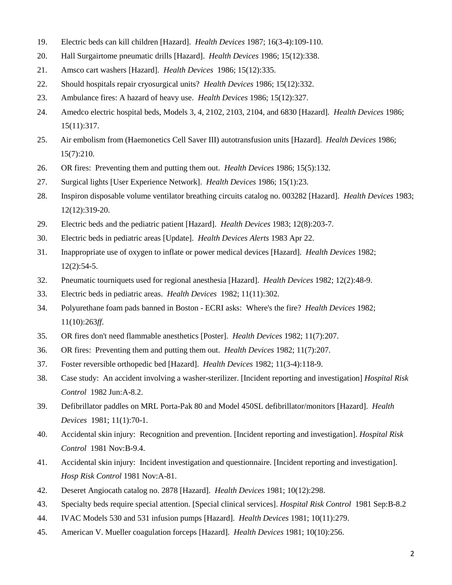- 19. Electric beds can kill children [Hazard]. *Health Devices* 1987; 16(3-4):109-110.
- 20. Hall Surgairtome pneumatic drills [Hazard]. *Health Devices* 1986; 15(12):338.
- 21. Amsco cart washers [Hazard]. *Health Devices* 1986; 15(12):335.
- 22. Should hospitals repair cryosurgical units? *Health Devices* 1986; 15(12):332.
- 23. Ambulance fires: A hazard of heavy use. *Health Devices* 1986; 15(12):327.
- 24. Amedco electric hospital beds, Models 3, 4, 2102, 2103, 2104, and 6830 [Hazard]. *Health Devices* 1986; 15(11):317.
- 25. Air embolism from (Haemonetics Cell Saver III) autotransfusion units [Hazard]. *Health Devices* 1986; 15(7):210.
- 26. OR fires: Preventing them and putting them out. *Health Devices* 1986; 15(5):132.
- 27. Surgical lights [User Experience Network]. *Health Devices* 1986; 15(1):23.
- 28. Inspiron disposable volume ventilator breathing circuits catalog no. 003282 [Hazard]. *Health Devices* 1983; 12(12):319-20.
- 29. Electric beds and the pediatric patient [Hazard]. *Health Devices* 1983; 12(8):203-7.
- 30. Electric beds in pediatric areas [Update]. *Health Devices Alerts* 1983 Apr 22.
- 31. Inappropriate use of oxygen to inflate or power medical devices [Hazard]. *Health Devices* 1982; 12(2):54-5.
- 32. Pneumatic tourniquets used for regional anesthesia [Hazard]. *Health Devices* 1982; 12(2):48-9.
- 33. Electric beds in pediatric areas. *Health Devices* 1982; 11(11):302.
- 34. Polyurethane foam pads banned in Boston ECRI asks: Where's the fire? *Health Devices* 1982; 11(10):263*ff*.
- 35. OR fires don't need flammable anesthetics [Poster]. *Health Devices* 1982; 11(7):207.
- 36. OR fires: Preventing them and putting them out. *Health Devices* 1982; 11(7):207.
- 37. Foster reversible orthopedic bed [Hazard]. *Health Devices* 1982; 11(3-4):118-9.
- 38. Case study: An accident involving a washer-sterilizer. [Incident reporting and investigation] *Hospital Risk Control* 1982 Jun:A-8.2.
- 39. Defibrillator paddles on MRL Porta-Pak 80 and Model 450SL defibrillator/monitors [Hazard]. *Health Devices* 1981; 11(1):70-1.
- 40. Accidental skin injury: Recognition and prevention. [Incident reporting and investigation]. *Hospital Risk Control* 1981 Nov:B-9.4.
- 41. Accidental skin injury: Incident investigation and questionnaire. [Incident reporting and investigation]. *Hosp Risk Control* 1981 Nov:A-81.
- 42. Deseret Angiocath catalog no. 2878 [Hazard]. *Health Devices* 1981; 10(12):298.
- 43. Specialty beds require special attention. [Special clinical services]. *Hospital Risk Control* 1981 Sep:B-8.2
- 44. IVAC Models 530 and 531 infusion pumps [Hazard]. *Health Devices* 1981; 10(11):279.
- 45. American V. Mueller coagulation forceps [Hazard]. *Health Devices* 1981; 10(10):256.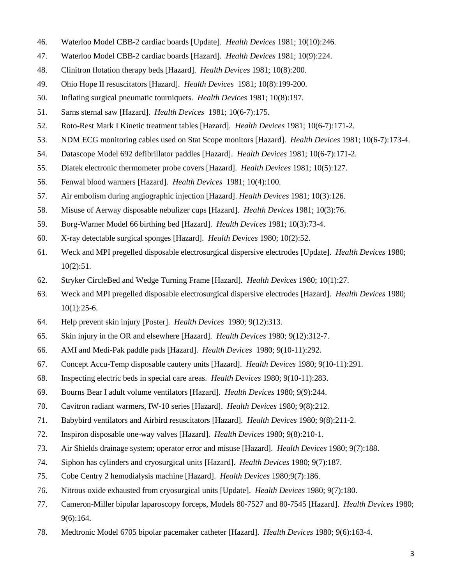- 46. Waterloo Model CBB-2 cardiac boards [Update]. *Health Devices* 1981; 10(10):246.
- 47. Waterloo Model CBB-2 cardiac boards [Hazard]. *Health Devices* 1981; 10(9):224.
- 48. Clinitron flotation therapy beds [Hazard]. *Health Devices* 1981; 10(8):200.
- 49. Ohio Hope II resuscitators [Hazard]. *Health Devices* 1981; 10(8):199-200.
- 50. Inflating surgical pneumatic tourniquets. *Health Devices* 1981; 10(8):197.
- 51. Sarns sternal saw [Hazard]. *Health Devices* 1981; 10(6-7):175.
- 52. Roto-Rest Mark I Kinetic treatment tables [Hazard]. *Health Devices* 1981; 10(6-7):171-2.
- 53. NDM ECG monitoring cables used on Stat Scope monitors [Hazard]. *Health Devices* 1981; 10(6-7):173-4.
- 54. Datascope Model 692 defibrillator paddles [Hazard]. *Health Devices* 1981; 10(6-7):171-2.
- 55. Diatek electronic thermometer probe covers [Hazard]. *Health Devices* 1981; 10(5):127.
- 56. Fenwal blood warmers [Hazard]. *Health Devices* 1981; 10(4):100.
- 57. Air embolism during angiographic injection [Hazard]. *Health Devices* 1981; 10(3):126.
- 58. Misuse of Aerway disposable nebulizer cups [Hazard]. *Health Devices* 1981; 10(3):76.
- 59. Borg-Warner Model 66 birthing bed [Hazard]. *Health Devices* 1981; 10(3):73-4.
- 60. X-ray detectable surgical sponges [Hazard]. *Health Devices* 1980; 10(2):52.
- 61. Weck and MPI pregelled disposable electrosurgical dispersive electrodes [Update]. *Health Devices* 1980; 10(2):51.
- 62. Stryker CircleBed and Wedge Turning Frame [Hazard]. *Health Devices* 1980; 10(1):27.
- 63. Weck and MPI pregelled disposable electrosurgical dispersive electrodes [Hazard]. *Health Devices* 1980; 10(1):25-6.
- 64. Help prevent skin injury [Poster]. *Health Devices* 1980; 9(12):313.
- 65. Skin injury in the OR and elsewhere [Hazard]. *Health Devices* 1980; 9(12):312-7.
- 66. AMI and Medi-Pak paddle pads [Hazard]. *Health Devices* 1980; 9(10-11):292.
- 67. Concept Accu-Temp disposable cautery units [Hazard]. *Health Devices* 1980; 9(10-11):291.
- 68. Inspecting electric beds in special care areas. *Health Devices* 1980; 9(10-11):283.
- 69. Bourns Bear I adult volume ventilators [Hazard]. *Health Devices* 1980; 9(9):244.
- 70. Cavitron radiant warmers, IW-10 series [Hazard]. *Health Devices* 1980; 9(8):212.
- 71. Babybird ventilators and Airbird resuscitators [Hazard]. *Health Devices* 1980; 9(8):211-2.
- 72. Inspiron disposable one-way valves [Hazard]. *Health Devices* 1980; 9(8):210-1.
- 73. Air Shields drainage system; operator error and misuse [Hazard]. *Health Devices* 1980; 9(7):188.
- 74. Siphon has cylinders and cryosurgical units [Hazard]. *Health Devices* 1980; 9(7):187.
- 75. Cobe Centry 2 hemodialysis machine [Hazard]. *Health Devices* 1980;9(7):186.
- 76. Nitrous oxide exhausted from cryosurgical units [Update]. *Health Devices* 1980; 9(7):180.
- 77. Cameron-Miller bipolar laparoscopy forceps, Models 80-7527 and 80-7545 [Hazard]. *Health Devices* 1980; 9(6):164.
- 78. Medtronic Model 6705 bipolar pacemaker catheter [Hazard]. *Health Devices* 1980; 9(6):163-4.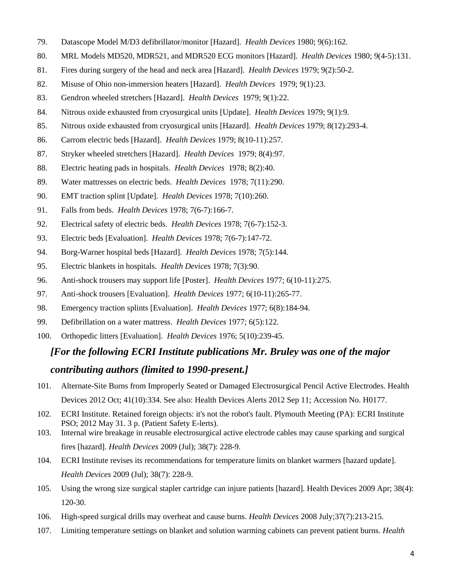- 79. Datascope Model M/D3 defibrillator/monitor [Hazard]. *Health Devices* 1980; 9(6):162.
- 80. MRL Models MD520, MDR521, and MDR520 ECG monitors [Hazard]. *Health Devices* 1980; 9(4-5):131.
- 81. Fires during surgery of the head and neck area [Hazard]. *Health Devices* 1979; 9(2):50-2.
- 82. Misuse of Ohio non-immersion heaters [Hazard]. *Health Devices* 1979; 9(1):23.
- 83. Gendron wheeled stretchers [Hazard]. *Health Devices* 1979; 9(1):22.
- 84. Nitrous oxide exhausted from cryosurgical units [Update]. *Health Devices* 1979; 9(1):9.
- 85. Nitrous oxide exhausted from cryosurgical units [Hazard]. *Health Devices* 1979; 8(12):293-4.
- 86. Carrom electric beds [Hazard]. *Health Devices* 1979; 8(10-11):257.
- 87. Stryker wheeled stretchers [Hazard]. *Health Devices* 1979; 8(4):97.
- 88. Electric heating pads in hospitals. *Health Devices* 1978; 8(2):40.
- 89. Water mattresses on electric beds. *Health Devices* 1978; 7(11):290.
- 90. EMT traction splint [Update]. *Health Devices* 1978; 7(10):260.
- 91. Falls from beds. *Health Devices* 1978; 7(6-7):166-7.
- 92. Electrical safety of electric beds. *Health Devices* 1978; 7(6-7):152-3.
- 93. Electric beds [Evaluation]. *Health Devices* 1978; 7(6-7):147-72.
- 94. Borg-Warner hospital beds [Hazard]. *Health Devices* 1978; 7(5):144.
- 95. Electric blankets in hospitals. *Health Devices* 1978; 7(3):90.
- 96. Anti-shock trousers may support life [Poster]. *Health Devices* 1977; 6(10-11):275.
- 97. Anti-shock trousers [Evaluation]. *Health Devices* 1977; 6(10-11):265-77.
- 98. Emergency traction splints [Evaluation]. *Health Devices* 1977; 6(8):184-94.
- 99. Defibrillation on a water mattress. *Health Devices* 1977; 6(5):122.
- 100. Orthopedic litters [Evaluation]. *Health Devices* 1976; 5(10):239-45.

### *[For the following ECRI Institute publications Mr. Bruley was one of the major*

### *contributing authors (limited to 1990-present.]*

- 101. Alternate-Site Burns from Improperly Seated or Damaged Electrosurgical Pencil Active Electrodes. Health Devices 2012 Oct; 41(10):334. See also: Health Devices Alerts 2012 Sep 11; Accession No. H0177.
- 102. ECRI Institute. Retained foreign objects: it's not the robot's fault. Plymouth Meeting (PA): ECRI Institute PSO; 2012 May 31. 3 p. (Patient Safety E-lerts).
- 103. Internal wire breakage in reusable electrosurgical active electrode cables may cause sparking and surgical fires [hazard]. *Health Devices* 2009 (Jul); 38(7): 228-9.
- 104. ECRI Institute revises its recommendations for temperature limits on blanket warmers [hazard update]. *Health Devices* 2009 (Jul); 38(7): 228-9.
- 105. Using the wrong size surgical stapler cartridge can injure patients [hazard]. Health Devices 2009 Apr; 38(4): 120-30.
- 106. High-speed surgical drills may overheat and cause burns. *Health Devices* 2008 July;37(7):213-215.
- 107. Limiting temperature settings on blanket and solution warming cabinets can prevent patient burns. *Health*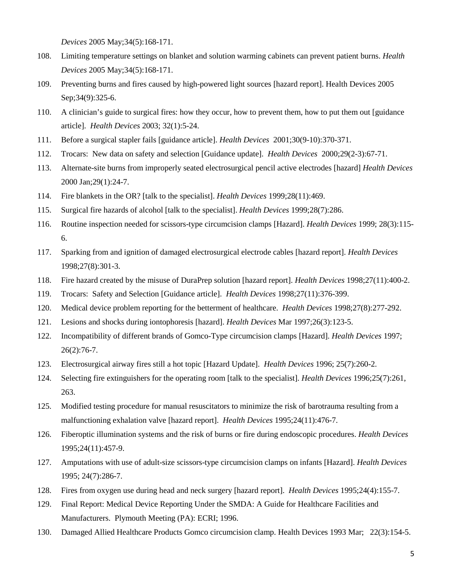*Devices* 2005 May;34(5):168-171.

- 108. Limiting temperature settings on blanket and solution warming cabinets can prevent patient burns. *Health Devices* 2005 May;34(5):168-171.
- 109. Preventing burns and fires caused by high-powered light sources [hazard report]. Health Devices 2005 Sep;34(9):325-6.
- 110. A clinician's guide to surgical fires: how they occur, how to prevent them, how to put them out [guidance article]. *Health Devices* 2003; 32(1):5-24.
- 111. Before a surgical stapler fails [guidance article]. *Health Devices* 2001;30(9-10):370-371.
- 112. Trocars: New data on safety and selection [Guidance update]. *Health Devices* 2000;29(2-3):67-71.
- 113. Alternate-site burns from improperly seated electrosurgical pencil active electrodes [hazard] *Health Devices* 2000 Jan;29(1):24-7.
- 114. Fire blankets in the OR? [talk to the specialist]. *Health Devices* 1999;28(11):469.
- 115. Surgical fire hazards of alcohol [talk to the specialist]. *Health Devices* 1999;28(7):286.
- 116. Routine inspection needed for scissors-type circumcision clamps [Hazard]. *Health Devices* 1999; 28(3):115- 6.
- 117. Sparking from and ignition of damaged electrosurgical electrode cables [hazard report]. *Health Devices* 1998;27(8):301-3.
- 118. Fire hazard created by the misuse of DuraPrep solution [hazard report]. *Health Devices* 1998;27(11):400-2.
- 119. Trocars: Safety and Selection [Guidance article]. *Health Devices* 1998;27(11):376-399.
- 120. Medical device problem reporting for the betterment of healthcare. *Health Devices* 1998;27(8):277-292.
- 121. Lesions and shocks during iontophoresis [hazard]. *Health Devices* Mar 1997;26(3):123-5.
- 122. Incompatibility of different brands of Gomco-Type circumcision clamps [Hazard]. *Health Devices* 1997; 26(2):76-7.
- 123. Electrosurgical airway fires still a hot topic [Hazard Update]. *Health Devices* 1996; 25(7):260-2.
- 124. Selecting fire extinguishers for the operating room [talk to the specialist]. *Health Devices* 1996;25(7):261, 263.
- 125. Modified testing procedure for manual resuscitators to minimize the risk of barotrauma resulting from a malfunctioning exhalation valve [hazard report]. *Health Devices* 1995;24(11):476-7.
- 126. Fiberoptic illumination systems and the risk of burns or fire during endoscopic procedures. *Health Devices* 1995;24(11):457-9.
- 127. Amputations with use of adult-size scissors-type circumcision clamps on infants [Hazard]. *Health Devices* 1995; 24(7):286-7.
- 128. Fires from oxygen use during head and neck surgery [hazard report]. *Health Devices* 1995;24(4):155-7.
- 129. Final Report: Medical Device Reporting Under the SMDA: A Guide for Healthcare Facilities and Manufacturers. Plymouth Meeting (PA): ECRI; 1996.
- 130. Damaged Allied Healthcare Products Gomco circumcision clamp. Health Devices 1993 Mar; 22(3):154-5.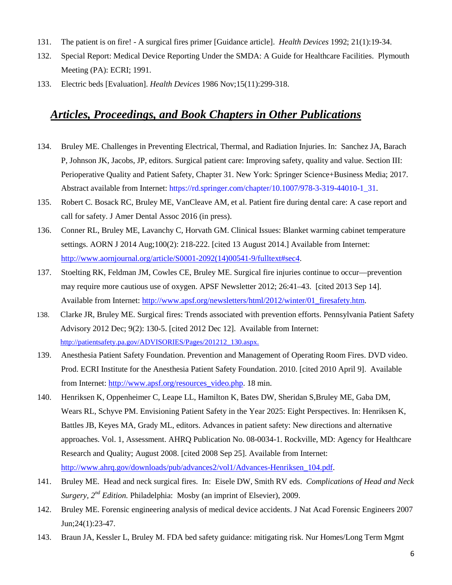- 131. The patient is on fire! A surgical fires primer [Guidance article]. *Health Devices* 1992; 21(1):19-34.
- 132. Special Report: Medical Device Reporting Under the SMDA: A Guide for Healthcare Facilities. Plymouth Meeting (PA): ECRI; 1991.
- 133. Electric beds [Evaluation]. *Health Devices* 1986 Nov;15(11):299-318.

## *Articles, Proceedings, and Book Chapters in Other Publications*

- 134. Bruley ME. Challenges in Preventing Electrical, Thermal, and Radiation Injuries. In: Sanchez JA, Barach P, Johnson JK, Jacobs, JP, editors. Surgical patient care: Improving safety, quality and value. Section III: Perioperative Quality and Patient Safety, Chapter 31. New York: Springer Science+Business Media; 2017. Abstract available from Internet: https://rd.springer.com/chapter/10.1007/978-3-319-44010-1\_31.
- 135. Robert C. Bosack RC, Bruley ME, VanCleave AM, et al. Patient fire during dental care: A case report and call for safety. J Amer Dental Assoc 2016 (in press).
- 136. Conner RL, Bruley ME, Lavanchy C, Horvath GM. Clinical Issues: Blanket warming cabinet temperature settings. AORN J 2014 Aug;100(2): 218-222. [cited 13 August 2014.] Available from Internet: [http://www.aornjournal.org/article/S0001-2092\(14\)00541-9/fulltext#sec4.](http://www.aornjournal.org/article/S0001-2092(14)00541-9/fulltext#sec4)
- 137. Stoelting RK, Feldman JM, Cowles CE, Bruley ME. Surgical fire injuries continue to occur—prevention may require more cautious use of oxygen. APSF Newsletter 2012; 26:41–43. [cited 2013 Sep 14]. Available from Internet: [http://www.apsf.org/newsletters/html/2012/winter/01\\_firesafety.htm.](http://www.apsf.org/newsletters/html/2012/winter/01_firesafety.htm)
- 138. Clarke JR, Bruley ME. Surgical fires: Trends associated with prevention efforts. Pennsylvania Patient Safety Advisory 2012 Dec; 9(2): 130-5. [cited 2012 Dec 12]. Available from Internet: [http://patientsafety.pa.gov/ADVISORIES/Pages/201212\\_130.aspx.](http://patientsafety.pa.gov/ADVISORIES/Pages/201212_130.aspx)
- 139. Anesthesia Patient Safety Foundation. Prevention and Management of Operating Room Fires. DVD video. Prod. ECRI Institute for the Anesthesia Patient Safety Foundation. 2010. [cited 2010 April 9]. Available from Internet: [http://www.apsf.org/resources\\_video.php.](http://www.apsf.org/resources_video.php) 18 min.
- 140. Henriksen K, Oppenheimer C, Leape LL, Hamilton K, Bates DW, Sheridan S,Bruley ME, Gaba DM, Wears RL, Schyve PM. Envisioning Patient Safety in the Year 2025: Eight Perspectives. In: Henriksen K, Battles JB, Keyes MA, Grady ML, editors. Advances in patient safety: New directions and alternative approaches. Vol. 1, Assessment. AHRQ Publication No. 08-0034-1. Rockville, MD: Agency for Healthcare Research and Quality; August 2008. [cited 2008 Sep 25]. Available from Internet: [http://www.ahrq.gov/downloads/pub/advances2/vol1/Advances-Henriksen\\_104.pdf.](http://www.ahrq.gov/downloads/pub/advances2/vol1/Advances-Henriksen_104.pdf)
- 141. Bruley ME. Head and neck surgical fires. In: Eisele DW, Smith RV eds. *Complications of Head and Neck Surgery, 2nd Edition.* Philadelphia: Mosby (an imprint of Elsevier), 2009.
- 142. Bruley ME. Forensic engineering analysis of medical device accidents. J Nat Acad Forensic Engineers 2007 Jun;24(1):23-47.
- 143. Braun JA, Kessler L, Bruley M. FDA bed safety guidance: mitigating risk. Nur Homes/Long Term Mgmt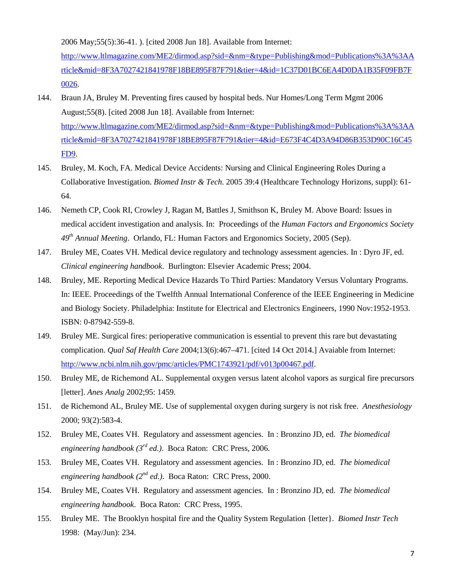2006 May;55(5):36-41. ). [cited 2008 Jun 18]. Available from Internet:

[http://www.ltlmagazine.com/ME2/dirmod.asp?sid=&nm=&type=Publishing&mod=Publications%3A%3AA](http://www.ltlmagazine.com/ME2/dirmod.asp?sid=&nm=&type=Publishing&mod=Publications%3A%3AArticle&mid=8F3A7027421841978F18BE895F87F791&tier=4&id=1C37D01BC6EA4D0DA1B35F09FB7F0026) [rticle&mid=8F3A7027421841978F18BE895F87F791&tier=4&id=1C37D01BC6EA4D0DA1B35F09FB7F](http://www.ltlmagazine.com/ME2/dirmod.asp?sid=&nm=&type=Publishing&mod=Publications%3A%3AArticle&mid=8F3A7027421841978F18BE895F87F791&tier=4&id=1C37D01BC6EA4D0DA1B35F09FB7F0026) [0026.](http://www.ltlmagazine.com/ME2/dirmod.asp?sid=&nm=&type=Publishing&mod=Publications%3A%3AArticle&mid=8F3A7027421841978F18BE895F87F791&tier=4&id=1C37D01BC6EA4D0DA1B35F09FB7F0026)

- 144. Braun JA, Bruley M. Preventing fires caused by hospital beds. Nur Homes/Long Term Mgmt 2006 August;55(8). [cited 2008 Jun 18]. Available from Internet: [http://www.ltlmagazine.com/ME2/dirmod.asp?sid=&nm=&type=Publishing&mod=Publications%3A%3AA](http://www.ltlmagazine.com/ME2/dirmod.asp?sid=&nm=&type=Publishing&mod=Publications%3A%3AArticle&mid=8F3A7027421841978F18BE895F87F791&tier=4&id=E673F4C4D3A94D86B353D90C16C45FD9) [rticle&mid=8F3A7027421841978F18BE895F87F791&tier=4&id=E673F4C4D3A94D86B353D90C16C45](http://www.ltlmagazine.com/ME2/dirmod.asp?sid=&nm=&type=Publishing&mod=Publications%3A%3AArticle&mid=8F3A7027421841978F18BE895F87F791&tier=4&id=E673F4C4D3A94D86B353D90C16C45FD9) [FD9.](http://www.ltlmagazine.com/ME2/dirmod.asp?sid=&nm=&type=Publishing&mod=Publications%3A%3AArticle&mid=8F3A7027421841978F18BE895F87F791&tier=4&id=E673F4C4D3A94D86B353D90C16C45FD9)
- 145. Bruley, M. Koch, FA. Medical Device Accidents: Nursing and Clinical Engineering Roles During a Collaborative Investigation. *Biomed Instr & Tech*. 2005 39:4 (Healthcare Technology Horizons, suppl): 61- 64.
- 146. Nemeth CP, Cook RI, Crowley J, Ragan M, Battles J, Smithson K, Bruley M. Above Board: Issues in medical accident investigation and analysis. In: Proceedings of the *Human Factors and Ergonomics Society 49th Annual Meeting*. Orlando, FL: Human Factors and Ergonomics Society, 2005 (Sep).
- 147. Bruley ME, Coates VH. Medical device regulatory and technology assessment agencies. In : Dyro JF, ed. *Clinical engineering handbook*. Burlington: Elsevier Academic Press; 2004.
- 148. Bruley, ME. Reporting Medical Device Hazards To Third Parties: Mandatory Versus Voluntary Programs. In: IEEE. Proceedings of the Twelfth Annual International Conference of the IEEE Engineering in Medicine and Biology Society. Philadelphia: Institute for Electrical and Electronics Engineers, 1990 Nov:1952-1953. ISBN: 0-87942-559-8.
- 149. Bruley ME. Surgical fires: perioperative communication is essential to prevent this rare but devastating complication. *Qual Saf Health Care* 2004;13(6):467–471. [cited 14 Oct 2014.] Avaiable from Internet: [http://www.ncbi.nlm.nih.gov/pmc/articles/PMC1743921/pdf/v013p00467.pdf.](http://www.ncbi.nlm.nih.gov/pmc/articles/PMC1743921/pdf/v013p00467.pdf)
- 150. Bruley ME, de Richemond AL. Supplemental oxygen versus latent alcohol vapors as surgical fire precursors [letter]. *Anes Analg* 2002;95: 1459.
- 151. de Richemond AL, Bruley ME. Use of supplemental oxygen during surgery is not risk free. *Anesthesiology* 2000; 93(2):583-4.
- 152. Bruley ME, Coates VH. Regulatory and assessment agencies. In : Bronzino JD, ed. *The biomedical engineering handbook (3rd ed.)*. Boca Raton: CRC Press, 2006.
- 153. Bruley ME, Coates VH. Regulatory and assessment agencies. In : Bronzino JD, ed. *The biomedical engineering handbook (2nd ed.)*. Boca Raton: CRC Press, 2000.
- 154. Bruley ME, Coates VH. Regulatory and assessment agencies. In : Bronzino JD, ed. *The biomedical engineering handbook*. Boca Raton: CRC Press, 1995.
- 155. Bruley ME. The Brooklyn hospital fire and the Quality System Regulation {letter}. *Biomed Instr Tech* 1998: (May/Jun): 234.